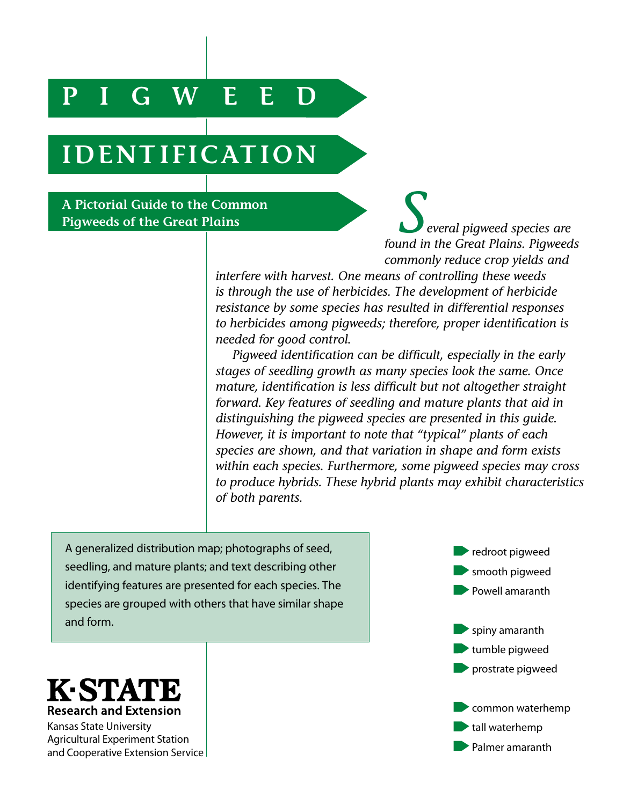## **PIGWEED**

# **IDENTIFICATION**

**A Pictorial Guide to the Common** 

**Pictorial Guide to the Common** *Several pigweed species are**Several pigweed species are found in the Great Plains**Pigweed found in the Great Plains. Pigweeds commonly reduce crop yields and* 

> *interfere with harvest. One means of controlling these weeds is through the use of herbicides. The development of herbicide resistance by some species has resulted in differential responses to herbicides among pigweeds; therefore, proper identification is needed for good control.*

*Pigweed identification can be difficult, especially in the early stages of seedling growth as many species look the same. Once mature, identification is less difficult but not altogether straight forward. Key features of seedling and mature plants that aid in distinguishing the pigweed species are presented in this guide. However, it is important to note that "typical" plants of each species are shown, and that variation in shape and form exists within each species. Furthermore, some pigweed species may cross to produce hybrids. These hybrid plants may exhibit characteristics of both parents.*

A generalized distribution map; photographs of seed, seedling, and mature plants; and text describing other identifying features are presented for each species. The species are grouped with others that have similar shape and form.

redroot pigweed smooth pigweed Powell amaranth spiny amaranth tumble pigweed prostrate pigweed common waterhemp tall waterhemp Palmer amaranth



Kansas State University Agricultural Experiment Station and Cooperative Extension Service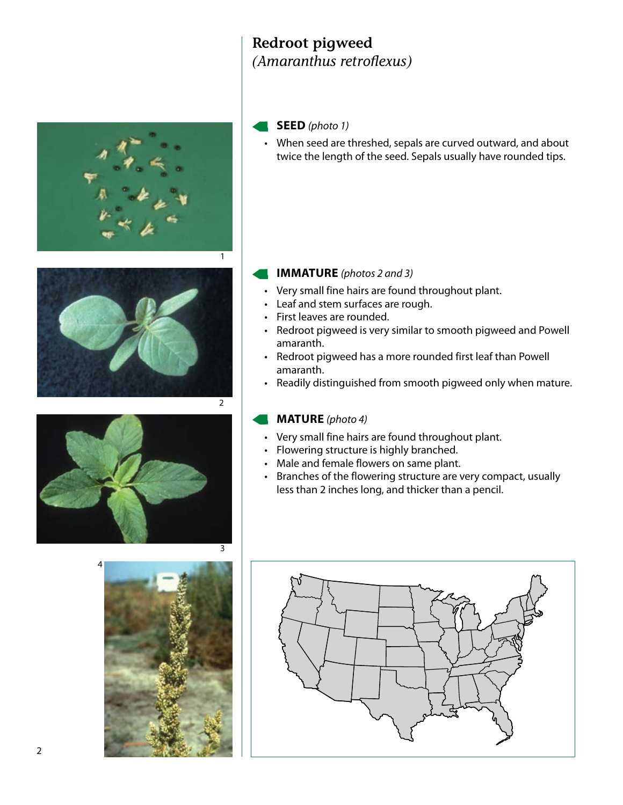### **Redroot pigweed**  *(Amaranthus retroflexus)*





• When seed are threshed, sepals are curved outward, and about twice the length of the seed. Sepals usually have rounded tips.

## **IMMATURE** *(photos 2 and 3)*

- Very small fine hairs are found throughout plant.
- Leaf and stem surfaces are rough.
- First leaves are rounded.
- Redroot pigweed is very similar to smooth pigweed and Powell amaranth.
- Redroot pigweed has a more rounded first leaf than Powell amaranth.
- Readily distinguished from smooth pigweed only when mature.

- Very small fine hairs are found throughout plant.
- Flowering structure is highly branched.
- Male and female flowers on same plant.
- Branches of the flowering structure are very compact, usually less than 2 inches long, and thicker than a pencil.





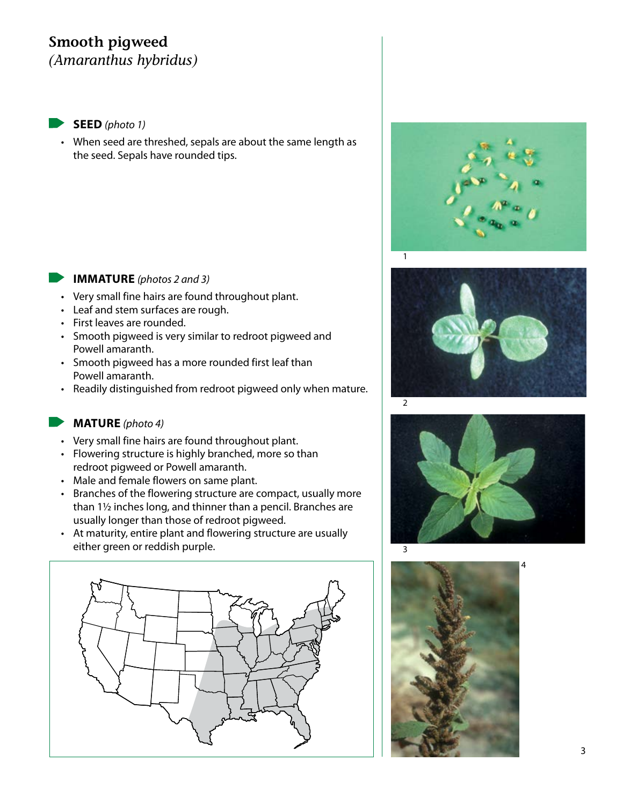### **Smooth pigweed** *(Amaranthus hybridus)*

**SEED** *(photo 1)*

• When seed are threshed, sepals are about the same length as the seed. Sepals have rounded tips.

### **IMMATURE** *(photos 2 and 3)*

- Very small fine hairs are found throughout plant.
- Leaf and stem surfaces are rough.
- First leaves are rounded.
- Smooth pigweed is very similar to redroot pigweed and Powell amaranth.
- Smooth pigweed has a more rounded first leaf than Powell amaranth.
- Readily distinguished from redroot pigweed only when mature.

- Very small fine hairs are found throughout plant.
- Flowering structure is highly branched, more so than redroot pigweed or Powell amaranth.
- Male and female flowers on same plant.
- Branches of the flowering structure are compact, usually more than 1½ inches long, and thinner than a pencil. Branches are usually longer than those of redroot pigweed.
- At maturity, entire plant and flowering structure are usually either green or reddish purple.









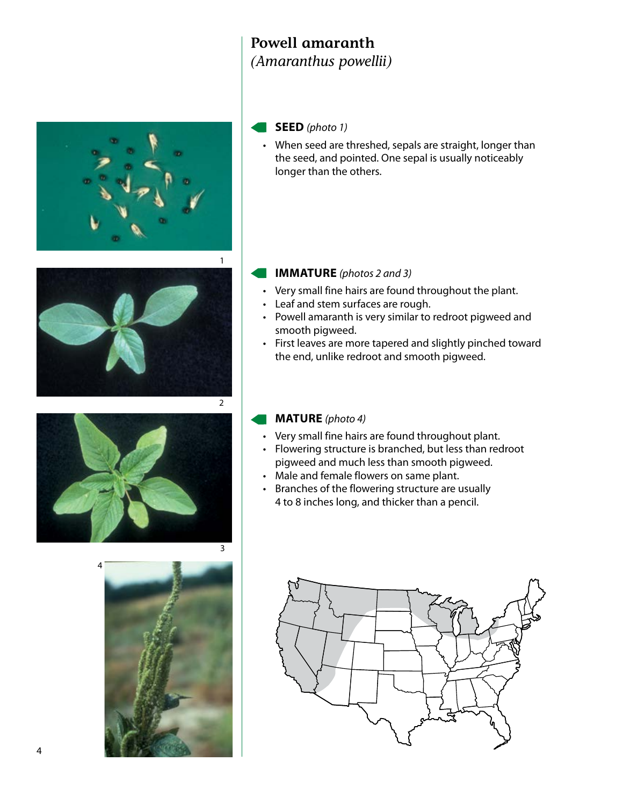### **Powell amaranth** *(Amaranthus powellii)*



### **SEED** *(photo 1)*

• When seed are threshed, sepals are straight, longer than the seed, and pointed. One sepal is usually noticeably longer than the others.



### **IMMATURE** *(photos 2 and 3)*

- Very small fine hairs are found throughout the plant.
- Leaf and stem surfaces are rough.
- Powell amaranth is very similar to redroot pigweed and smooth pigweed.
- First leaves are more tapered and slightly pinched toward the end, unlike redroot and smooth pigweed.





- Very small fine hairs are found throughout plant.
- Flowering structure is branched, but less than redroot pigweed and much less than smooth pigweed.
- Male and female flowers on same plant.
- Branches of the flowering structure are usually 4 to 8 inches long, and thicker than a pencil.

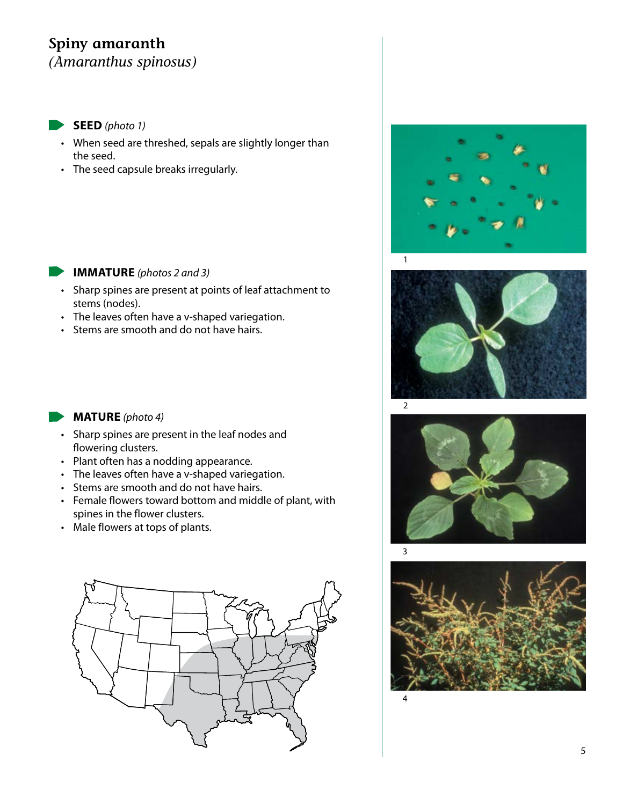### **Spiny amaranth** *(Amaranthus spinosus)*

**SEED** *(photo 1)*

- When seed are threshed, sepals are slightly longer than the seed.
- The seed capsule breaks irregularly.









### **IMMATURE** *(photos 2 and 3)*  $\mathbf{r}$

- Sharp spines are present at points of leaf attachment to stems (nodes).
- The leaves often have a v-shaped variegation.
- Stems are smooth and do not have hairs.

- Sharp spines are present in the leaf nodes and flowering clusters.
- Plant often has a nodding appearance.
- The leaves often have a v-shaped variegation.
- Stems are smooth and do not have hairs.
- Female flowers toward bottom and middle of plant, with spines in the flower clusters.
- Male flowers at tops of plants.

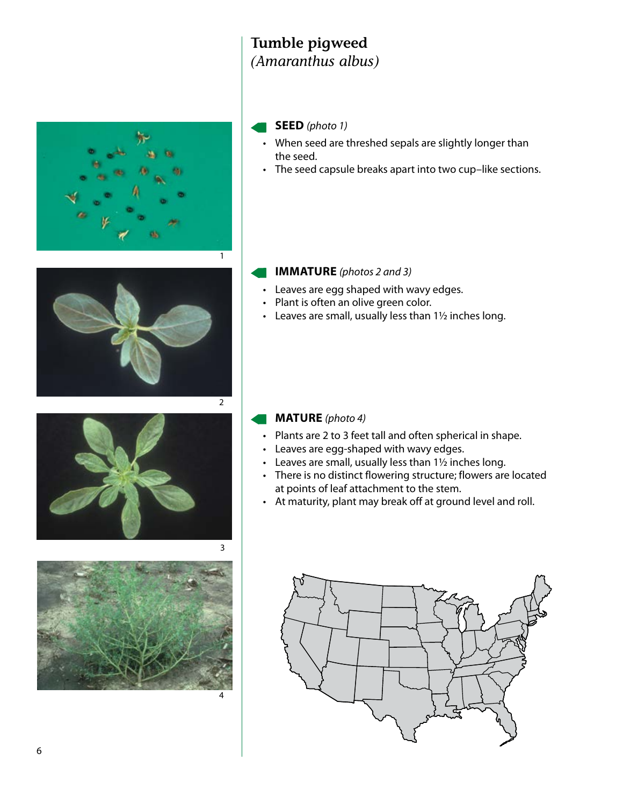### **Tumble pigweed** *(Amaranthus albus)*



### **SEED** *(photo 1)*

- When seed are threshed sepals are slightly longer than the seed.
- The seed capsule breaks apart into two cup–like sections.



### **IMMATURE** *(photos 2 and 3)*

- Leaves are egg shaped with wavy edges.
- Plant is often an olive green color.
- Leaves are small, usually less than 1½ inches long.



# 4

- Plants are 2 to 3 feet tall and often spherical in shape.
- Leaves are egg-shaped with wavy edges.
- Leaves are small, usually less than 1½ inches long.
- There is no distinct flowering structure; flowers are located at points of leaf attachment to the stem.
- At maturity, plant may break off at ground level and roll.

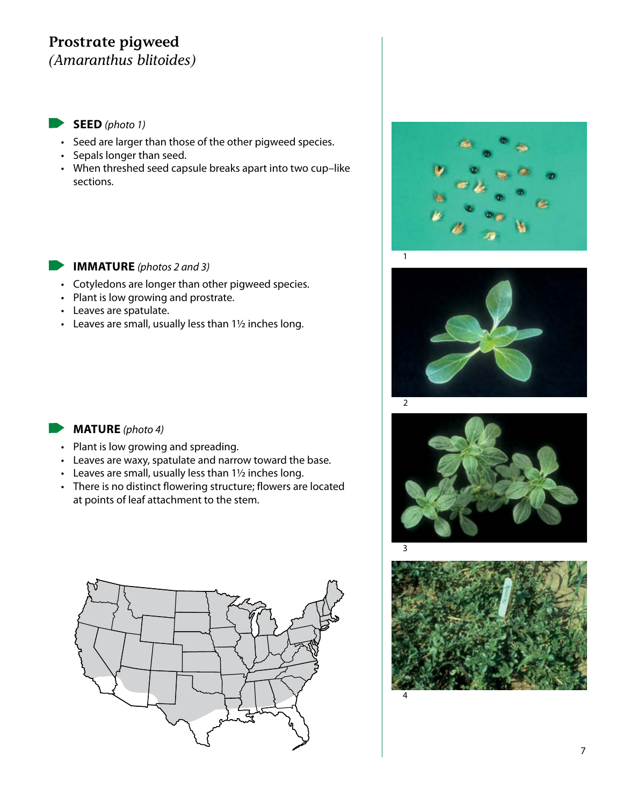### **Prostrate pigweed** *(Amaranthus blitoides)*

### **SEED** *(photo 1)*

- Seed are larger than those of the other pigweed species.
- Sepals longer than seed.
- When threshed seed capsule breaks apart into two cup–like sections.

#### **IMMATURE** *(photos 2 and 3)*  $\blacksquare$

- Cotyledons are longer than other pigweed species.
- Plant is low growing and prostrate.
- Leaves are spatulate.
- Leaves are small, usually less than 1½ inches long.









- Plant is low growing and spreading.
- Leaves are waxy, spatulate and narrow toward the base.
- Leaves are small, usually less than 1½ inches long.
- There is no distinct flowering structure; flowers are located at points of leaf attachment to the stem.

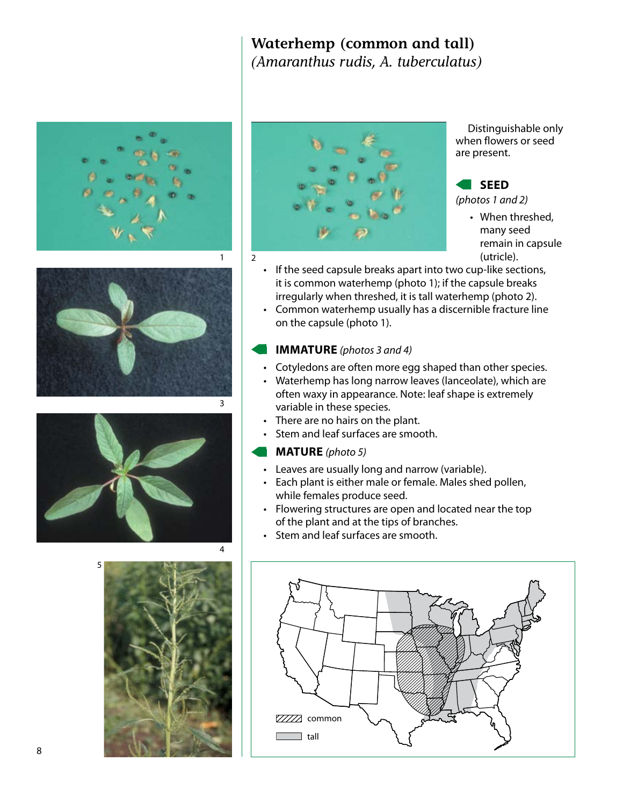### **Waterhemp (common and tall)**  *(Amaranthus rudis, A. tuberculatus)*











Distinguishable only when flowers or seed are present.

### **SEED**

*(photos 1 and 2)*

- When threshed, many seed remain in capsule (utricle).
- If the seed capsule breaks apart into two cup-like sections, it is common waterhemp (photo 1); if the capsule breaks irregularly when threshed, it is tall waterhemp (photo 2).
- Common waterhemp usually has a discernible fracture line on the capsule (photo 1).

### **IMMATURE** *(photos 3 and 4)*

- Cotyledons are often more egg shaped than other species.
- Waterhemp has long narrow leaves (lanceolate), which are often waxy in appearance. Note: leaf shape is extremely variable in these species.
- There are no hairs on the plant.
- Stem and leaf surfaces are smooth.

- Leaves are usually long and narrow (variable).
- Each plant is either male or female. Males shed pollen, while females produce seed.
- Flowering structures are open and located near the top of the plant and at the tips of branches.
- Stem and leaf surfaces are smooth.

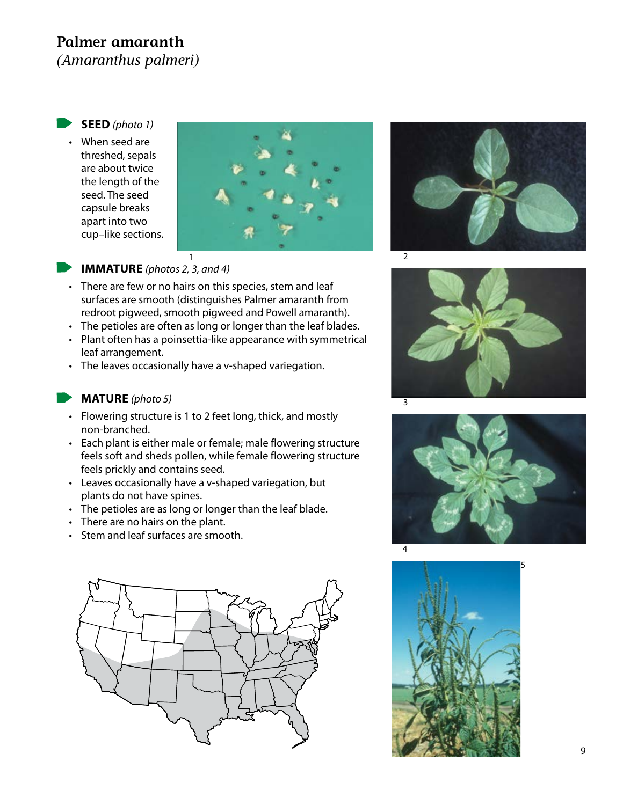### **Palmer amaranth**

*(Amaranthus palmeri)*

- **SEED** *(photo 1)* • When seed are threshed, sepals
	- are about twice the length of the seed. The seed capsule breaks apart into two cup–like sections.





### **IMMATURE** *(photos 2, 3, and 4)*

- There are few or no hairs on this species, stem and leaf surfaces are smooth (distinguishes Palmer amaranth from redroot pigweed, smooth pigweed and Powell amaranth).
- The petioles are often as long or longer than the leaf blades.
- Plant often has a poinsettia-like appearance with symmetrical leaf arrangement.
- The leaves occasionally have a v-shaped variegation.

- Flowering structure is 1 to 2 feet long, thick, and mostly non-branched.
- Each plant is either male or female; male flowering structure feels soft and sheds pollen, while female flowering structure feels prickly and contains seed.
- Leaves occasionally have a v-shaped variegation, but plants do not have spines.
- The petioles are as long or longer than the leaf blade.
- There are no hairs on the plant.
- Stem and leaf surfaces are smooth.









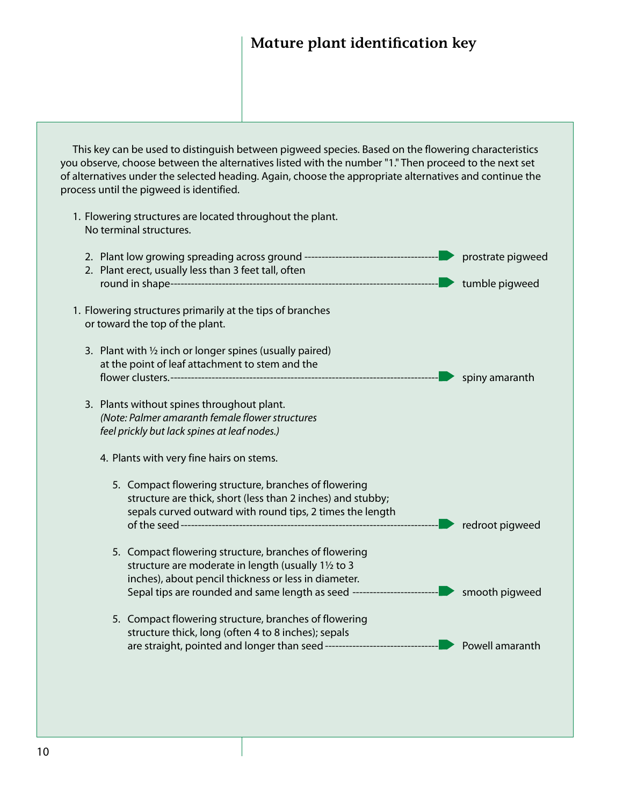### **Mature plant identification key**

This key can be used to distinguish between pigweed species. Based on the flowering characteristics you observe, choose between the alternatives listed with the number "1." Then proceed to the next set of alternatives under the selected heading. Again, choose the appropriate alternatives and continue the process until the pigweed is identified.

1. Flowering structures are located throughout the plant. No terminal structures. 2. Plant low growing spreading across ground --------------------------------------- prostrate pigweed 2. Plant erect, usually less than 3 feet tall, often round in shape------------------------------------------------------------------------------ tumble pigweed 1. Flowering structures primarily at the tips of branches or toward the top of the plant. 3. Plant with  $\frac{1}{2}$  inch or longer spines (usually paired) at the point of leaf attachment to stem and the flower clusters.------------------------------------------------------------------------------ spiny amaranth 3. Plants without spines throughout plant. *(Note: Palmer amaranth female flower structures feel prickly but lack spines at leaf nodes.)* 4. Plants with very fine hairs on stems. 5. Compact flowering structure, branches of flowering structure are thick, short (less than 2 inches) and stubby; sepals curved outward with round tips, 2 times the length of the seed--------------------------------------------------------------------------- redroot pigweed 5. Compact flowering structure, branches of flowering structure are moderate in length (usually 1½ to 3 inches), about pencil thickness or less in diameter. Sepal tips are rounded and same length as seed ------------------------- smooth pigweed 5. Compact flowering structure, branches of flowering structure thick, long (often 4 to 8 inches); sepals are straight, pointed and longer than seed --------------------------------- Powell amaranth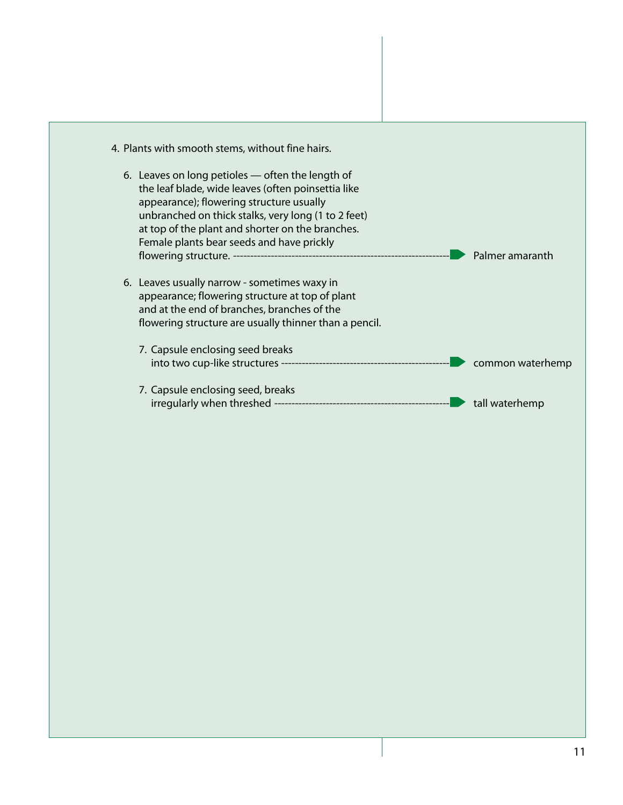